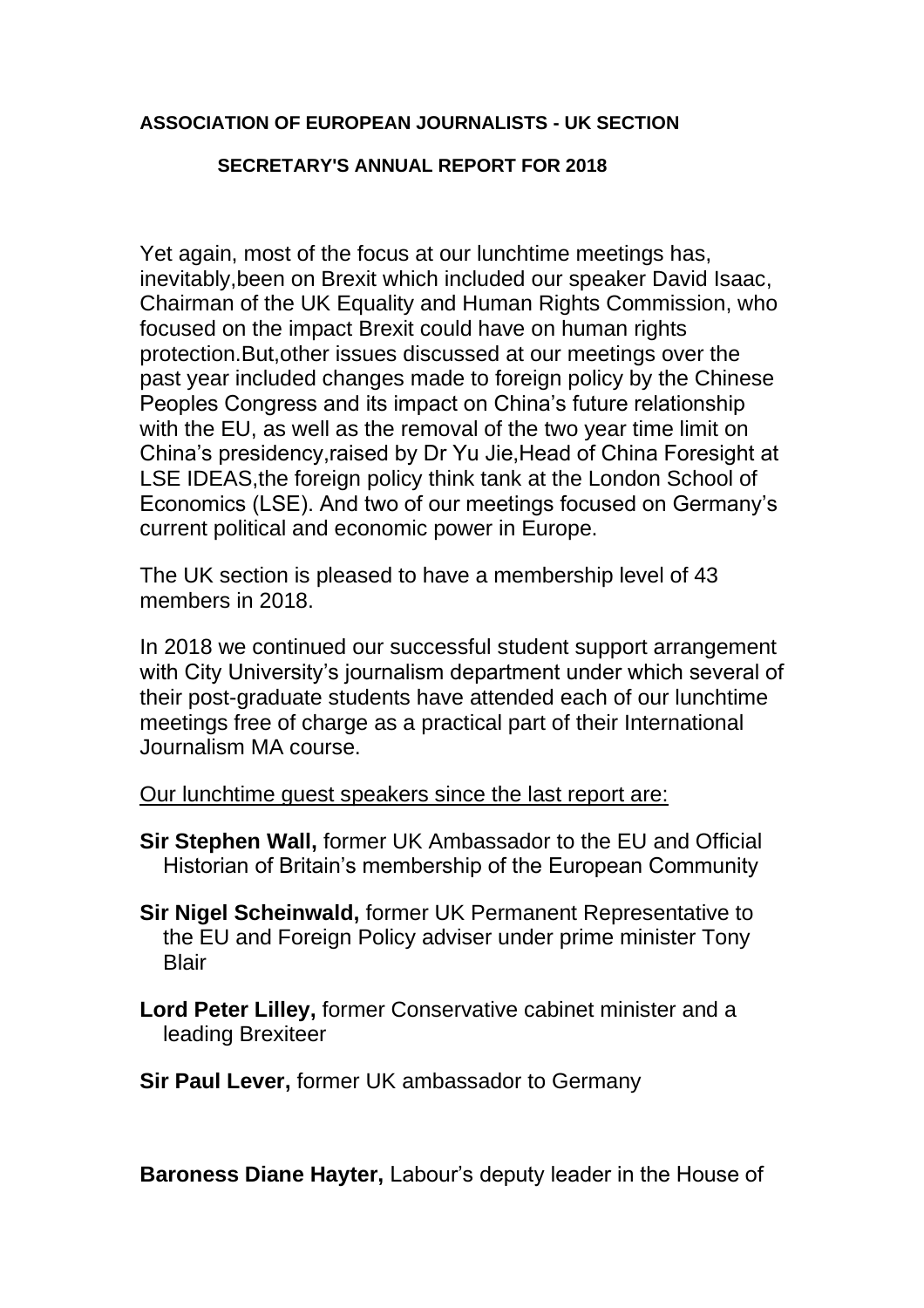## **ASSOCIATION OF EUROPEAN JOURNALISTS - UK SECTION**

## **SECRETARY'S ANNUAL REPORT FOR 2018**

Yet again, most of the focus at our lunchtime meetings has, inevitably,been on Brexit which included our speaker David Isaac, Chairman of the UK Equality and Human Rights Commission, who focused on the impact Brexit could have on human rights protection.But,other issues discussed at our meetings over the past year included changes made to foreign policy by the Chinese Peoples Congress and its impact on China's future relationship with the EU, as well as the removal of the two year time limit on China's presidency,raised by Dr Yu Jie,Head of China Foresight at LSE IDEAS,the foreign policy think tank at the London School of Economics (LSE). And two of our meetings focused on Germany's current political and economic power in Europe.

The UK section is pleased to have a membership level of 43 members in 2018.

In 2018 we continued our successful student support arrangement with City University's journalism department under which several of their post-graduate students have attended each of our lunchtime meetings free of charge as a practical part of their International Journalism MA course.

Our lunchtime guest speakers since the last report are:

- **Sir Stephen Wall,** former UK Ambassador to the EU and Official Historian of Britain's membership of the European Community
- **Sir Nigel Scheinwald,** former UK Permanent Representative to the EU and Foreign Policy adviser under prime minister Tony **Blair**
- **Lord Peter Lilley,** former Conservative cabinet minister and a leading Brexiteer
- **Sir Paul Lever,** former UK ambassador to Germany

**Baroness Diane Hayter,** Labour's deputy leader in the House of